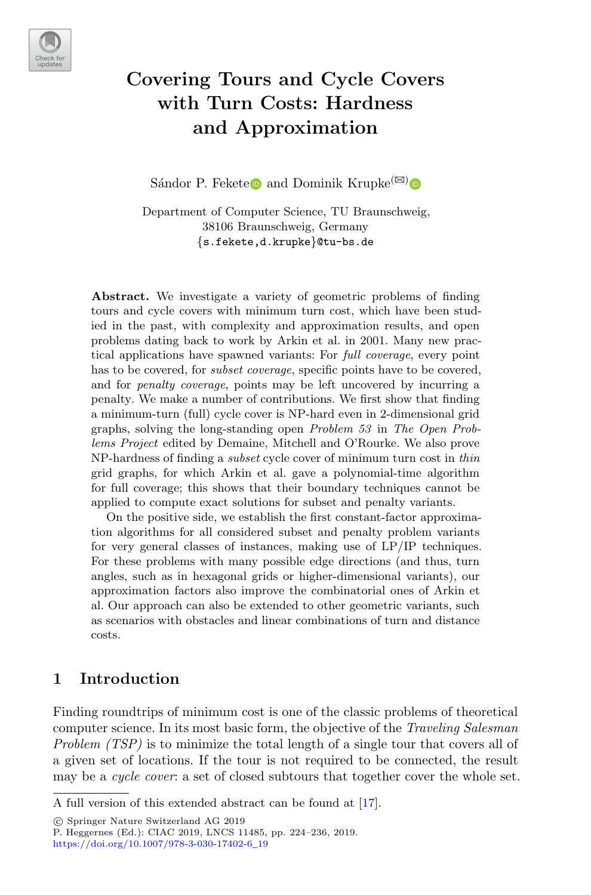

# **Covering Tours and Cycle Covers with Turn Costs: Hardness and Approximation**

Sándor P. F[e](http://orcid.org/0000-0002-9062-4241)kete and Dominik Krupke<sup>( $\boxtimes$ [\)](http://orcid.org/0000-0003-1573-3496)</sup>

Department of Computer Science, TU Braunschweig, 38106 Braunschweig, Germany {s.fekete,d.krupke}@tu-bs.de

**Abstract.** We investigate a variety of geometric problems of finding tours and cycle covers with minimum turn cost, which have been studied in the past, with complexity and approximation results, and open problems dating back to work by Arkin et al. in 2001. Many new practical applications have spawned variants: For *full coverage*, every point has to be covered, for *subset coverage*, specific points have to be covered, and for *penalty coverage*, points may be left uncovered by incurring a penalty. We make a number of contributions. We first show that finding a minimum-turn (full) cycle cover is NP-hard even in 2-dimensional grid graphs, solving the long-standing open *Problem 53* in *The Open Problems Project* edited by Demaine, Mitchell and O'Rourke. We also prove NP-hardness of finding a *subset* cycle cover of minimum turn cost in *thin* grid graphs, for which Arkin et al. gave a polynomial-time algorithm for full coverage; this shows that their boundary techniques cannot be applied to compute exact solutions for subset and penalty variants.

On the positive side, we establish the first constant-factor approximation algorithms for all considered subset and penalty problem variants for very general classes of instances, making use of LP/IP techniques. For these problems with many possible edge directions (and thus, turn angles, such as in hexagonal grids or higher-dimensional variants), our approximation factors also improve the combinatorial ones of Arkin et al. Our approach can also be extended to other geometric variants, such as scenarios with obstacles and linear combinations of turn and distance costs.

### **1 Introduction**

Finding roundtrips of minimum cost is one of the classic problems of theoretical computer science. In its most basic form, the objective of the *Traveling Salesman Problem (TSP)* is to minimize the total length of a single tour that covers all of a given set of locations. If the tour is not required to be connected, the result may be a *cycle cover*: a set of closed subtours that together cover the whole set.

A full version of this extended abstract can be found at [\[17\]](#page-11-0).

<sup>-</sup>c Springer Nature Switzerland AG 2019

P. Heggernes (Ed.): CIAC 2019, LNCS 11485, pp. 224–236, 2019. [https://doi.org/10.1007/978-3-030-17402-6](https://doi.org/10.1007/978-3-030-17402-6_19)\_19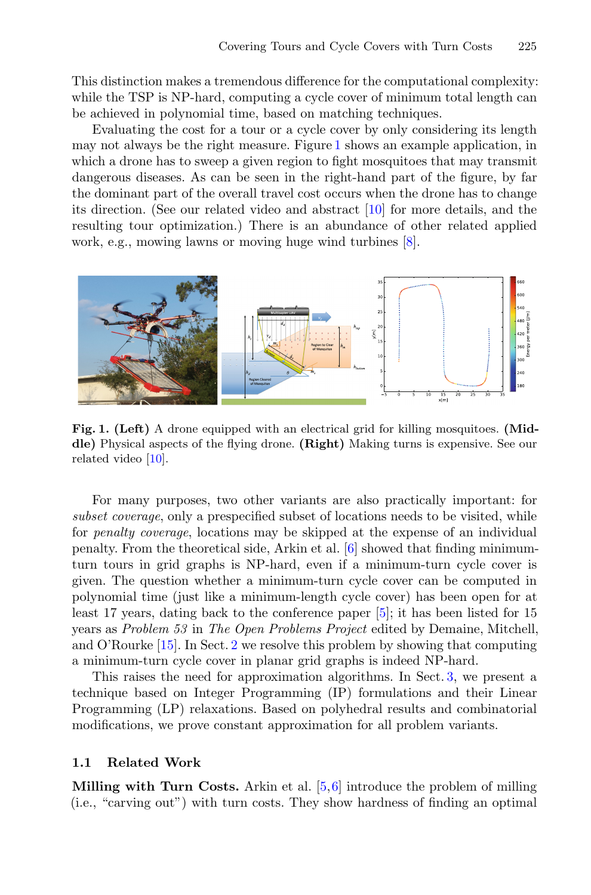This distinction makes a tremendous difference for the computational complexity: while the TSP is NP-hard, computing a cycle cover of minimum total length can be achieved in polynomial time, based on matching techniques.

Evaluating the cost for a tour or a cycle cover by only considering its length may not always be the right measure. Figure [1](#page-1-0) shows an example application, in which a drone has to sweep a given region to fight mosquitoes that may transmit dangerous diseases. As can be seen in the right-hand part of the figure, by far the dominant part of the overall travel cost occurs when the drone has to change its direction. (See our related video and abstract [\[10](#page-11-1)] for more details, and the resulting tour optimization.) There is an abundance of other related applied work, e.g., mowing lawns or moving huge wind turbines [\[8](#page-11-2)].



<span id="page-1-0"></span>**Fig. 1. (Left)** A drone equipped with an electrical grid for killing mosquitoes. **(Middle)** Physical aspects of the flying drone. **(Right)** Making turns is expensive. See our related video [\[10](#page-11-1)].

For many purposes, two other variants are also practically important: for *subset coverage*, only a prespecified subset of locations needs to be visited, while for *penalty coverage*, locations may be skipped at the expense of an individual penalty. From the theoretical side, Arkin et al. [\[6\]](#page-11-3) showed that finding minimumturn tours in grid graphs is NP-hard, even if a minimum-turn cycle cover is given. The question whether a minimum-turn cycle cover can be computed in polynomial time (just like a minimum-length cycle cover) has been open for at least 17 years, dating back to the conference paper [\[5](#page-11-4)]; it has been listed for 15 years as *Problem 53* in *The Open Problems Project* edited by Demaine, Mitchell, and O'Rourke [\[15](#page-11-5)]. In Sect. [2](#page-5-0) we resolve this problem by showing that computing a minimum-turn cycle cover in planar grid graphs is indeed NP-hard.

This raises the need for approximation algorithms. In Sect. [3,](#page-6-0) we present a technique based on Integer Programming (IP) formulations and their Linear Programming (LP) relaxations. Based on polyhedral results and combinatorial modifications, we prove constant approximation for all problem variants.

#### **1.1 Related Work**

**Milling with Turn Costs.** Arkin et al. [\[5](#page-11-4),[6\]](#page-11-3) introduce the problem of milling (i.e., "carving out") with turn costs. They show hardness of finding an optimal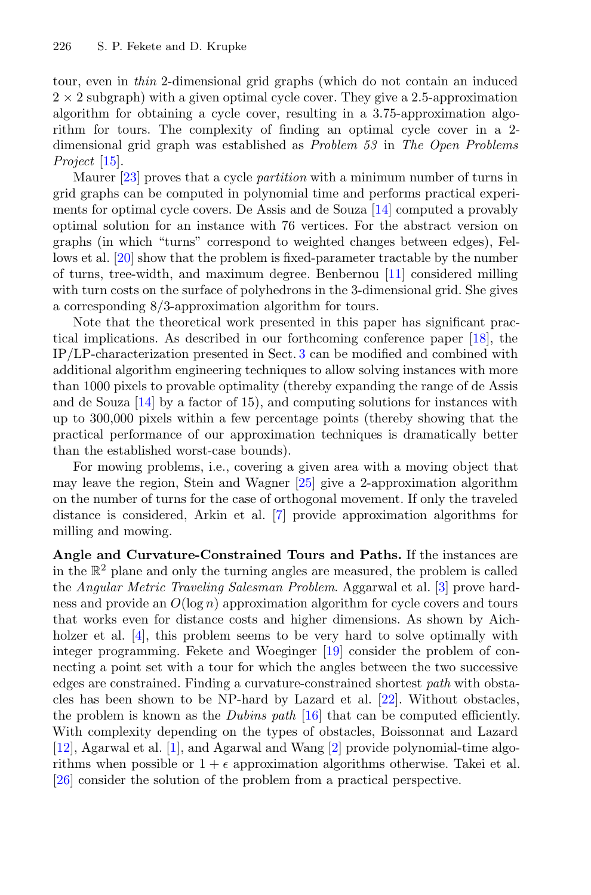tour, even in *thin* 2-dimensional grid graphs (which do not contain an induced  $2 \times 2$  subgraph) with a given optimal cycle cover. They give a 2.5-approximation algorithm for obtaining a cycle cover, resulting in a 3.75-approximation algorithm for tours. The complexity of finding an optimal cycle cover in a 2 dimensional grid graph was established as *Problem 53* in *The Open Problems Project* [\[15\]](#page-11-5).

Maurer [\[23\]](#page-12-0) proves that a cycle *partition* with a minimum number of turns in grid graphs can be computed in polynomial time and performs practical experiments for optimal cycle covers. De Assis and de Souza [\[14\]](#page-11-6) computed a provably optimal solution for an instance with 76 vertices. For the abstract version on graphs (in which "turns" correspond to weighted changes between edges), Fellows et al. [\[20](#page-11-7)] show that the problem is fixed-parameter tractable by the number of turns, tree-width, and maximum degree. Benbernou [\[11\]](#page-11-8) considered milling with turn costs on the surface of polyhedrons in the 3-dimensional grid. She gives a corresponding 8/3-approximation algorithm for tours.

Note that the theoretical work presented in this paper has significant practical implications. As described in our forthcoming conference paper [\[18\]](#page-11-9), the IP/LP-characterization presented in Sect. [3](#page-6-0) can be modified and combined with additional algorithm engineering techniques to allow solving instances with more than 1000 pixels to provable optimality (thereby expanding the range of de Assis and de Souza [\[14\]](#page-11-6) by a factor of 15), and computing solutions for instances with up to 300,000 pixels within a few percentage points (thereby showing that the practical performance of our approximation techniques is dramatically better than the established worst-case bounds).

For mowing problems, i.e., covering a given area with a moving object that may leave the region, Stein and Wagner [\[25](#page-12-1)] give a 2-approximation algorithm on the number of turns for the case of orthogonal movement. If only the traveled distance is considered, Arkin et al. [\[7](#page-11-10)] provide approximation algorithms for milling and mowing.

**Angle and Curvature-Constrained Tours and Paths.** If the instances are in the  $\mathbb{R}^2$  plane and only the turning angles are measured, the problem is called the *Angular Metric Traveling Salesman Problem*. Aggarwal et al. [\[3](#page-10-0)] prove hardness and provide an  $O(\log n)$  approximation algorithm for cycle covers and tours that works even for distance costs and higher dimensions. As shown by Aichholzer et al.  $[4]$  $[4]$ , this problem seems to be very hard to solve optimally with integer programming. Fekete and Woeginger [\[19\]](#page-11-12) consider the problem of connecting a point set with a tour for which the angles between the two successive edges are constrained. Finding a curvature-constrained shortest *path* with obstacles has been shown to be NP-hard by Lazard et al. [\[22\]](#page-12-2). Without obstacles, the problem is known as the *Dubins path* [\[16\]](#page-11-13) that can be computed efficiently. With complexity depending on the types of obstacles, Boissonnat and Lazard [\[12](#page-11-14)], Agarwal et al. [\[1](#page-10-1)], and Agarwal and Wang [\[2\]](#page-10-2) provide polynomial-time algorithms when possible or  $1 + \epsilon$  approximation algorithms otherwise. Takei et al. [\[26](#page-12-3)] consider the solution of the problem from a practical perspective.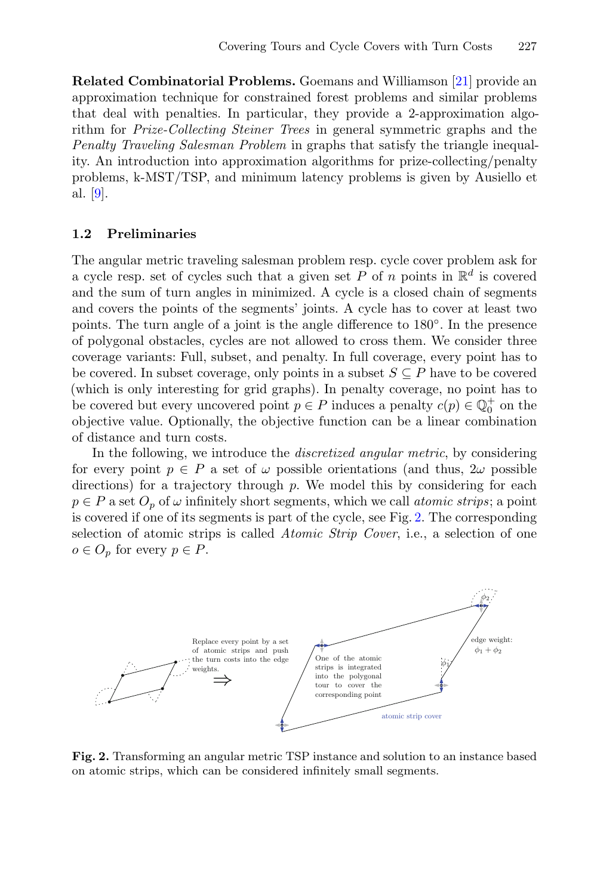**Related Combinatorial Problems.** Goemans and Williamson [\[21\]](#page-11-15) provide an approximation technique for constrained forest problems and similar problems that deal with penalties. In particular, they provide a 2-approximation algorithm for *Prize-Collecting Steiner Trees* in general symmetric graphs and the *Penalty Traveling Salesman Problem* in graphs that satisfy the triangle inequality. An introduction into approximation algorithms for prize-collecting/penalty problems, k-MST/TSP, and minimum latency problems is given by Ausiello et al. [\[9](#page-11-16)].

#### **1.2 Preliminaries**

The angular metric traveling salesman problem resp. cycle cover problem ask for a cycle resp. set of cycles such that a given set P of n points in  $\mathbb{R}^d$  is covered and the sum of turn angles in minimized. A cycle is a closed chain of segments and covers the points of the segments' joints. A cycle has to cover at least two points. The turn angle of a joint is the angle difference to  $180°$ . In the presence of polygonal obstacles, cycles are not allowed to cross them. We consider three coverage variants: Full, subset, and penalty. In full coverage, every point has to be covered. In subset coverage, only points in a subset  $S \subseteq P$  have to be covered (which is only interesting for grid graphs). In penalty coverage, no point has to be covered but every uncovered point  $p \in P$  induces a penalty  $c(p) \in \mathbb{Q}_0^+$  on the objective value. Optionally, the objective function can be a linear combination of distance and turn costs.

In the following, we introduce the *discretized angular metric*, by considering for every point  $p \in P$  a set of  $\omega$  possible orientations (and thus,  $2\omega$  possible directions) for a trajectory through  $p$ . We model this by considering for each  $p \in P$  a set  $O_p$  of  $\omega$  infinitely short segments, which we call *atomic strips*; a point is covered if one of its segments is part of the cycle, see Fig. [2.](#page-3-0) The corresponding selection of atomic strips is called *Atomic Strip Cover*, i.e., a selection of one  $o \in O_p$  for every  $p \in P$ .



<span id="page-3-0"></span>**Fig. 2.** Transforming an angular metric TSP instance and solution to an instance based on atomic strips, which can be considered infinitely small segments.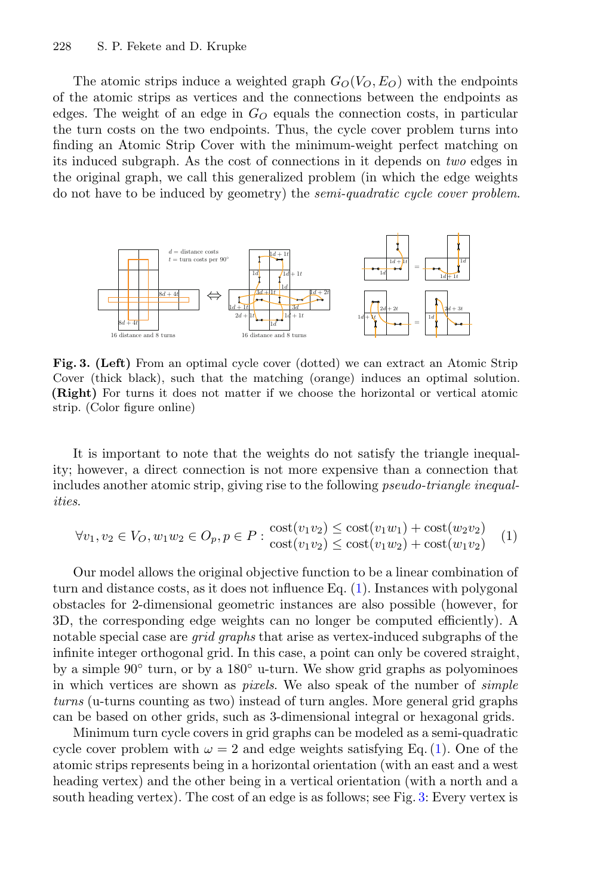The atomic strips induce a weighted graph  $G<sub>O</sub>(V<sub>O</sub>, E<sub>O</sub>)$  with the endpoints of the atomic strips as vertices and the connections between the endpoints as edges. The weight of an edge in  $G<sub>O</sub>$  equals the connection costs, in particular the turn costs on the two endpoints. Thus, the cycle cover problem turns into finding an Atomic Strip Cover with the minimum-weight perfect matching on its induced subgraph. As the cost of connections in it depends on *two* edges in the original graph, we call this generalized problem (in which the edge weights do not have to be induced by geometry) the *semi-quadratic cycle cover problem*.



<span id="page-4-1"></span>**Fig. 3. (Left)** From an optimal cycle cover (dotted) we can extract an Atomic Strip Cover (thick black), such that the matching (orange) induces an optimal solution. **(Right)** For turns it does not matter if we choose the horizontal or vertical atomic strip. (Color figure online)

It is important to note that the weights do not satisfy the triangle inequality; however, a direct connection is not more expensive than a connection that includes another atomic strip, giving rise to the following *pseudo-triangle inequalities*.

<span id="page-4-0"></span>
$$
\forall v_1, v_2 \in V_O, w_1 w_2 \in O_p, p \in P : \frac{\text{cost}(v_1 v_2) \le \text{cost}(v_1 w_1) + \text{cost}(w_2 v_2)}{\text{cost}(v_1 v_2) \le \text{cost}(v_1 w_2) + \text{cost}(w_1 v_2)} \tag{1}
$$

Our model allows the original objective function to be a linear combination of turn and distance costs, as it does not influence Eq. [\(1\)](#page-4-0). Instances with polygonal obstacles for 2-dimensional geometric instances are also possible (however, for 3D, the corresponding edge weights can no longer be computed efficiently). A notable special case are *grid graphs* that arise as vertex-induced subgraphs of the infinite integer orthogonal grid. In this case, a point can only be covered straight, by a simple 90◦ turn, or by a 180◦ u-turn. We show grid graphs as polyominoes in which vertices are shown as *pixels*. We also speak of the number of *simple turns* (u-turns counting as two) instead of turn angles. More general grid graphs can be based on other grids, such as 3-dimensional integral or hexagonal grids.

Minimum turn cycle covers in grid graphs can be modeled as a semi-quadratic cycle cover problem with  $\omega = 2$  and edge weights satisfying Eq. [\(1\)](#page-4-0). One of the atomic strips represents being in a horizontal orientation (with an east and a west heading vertex) and the other being in a vertical orientation (with a north and a south heading vertex). The cost of an edge is as follows; see Fig. [3:](#page-4-1) Every vertex is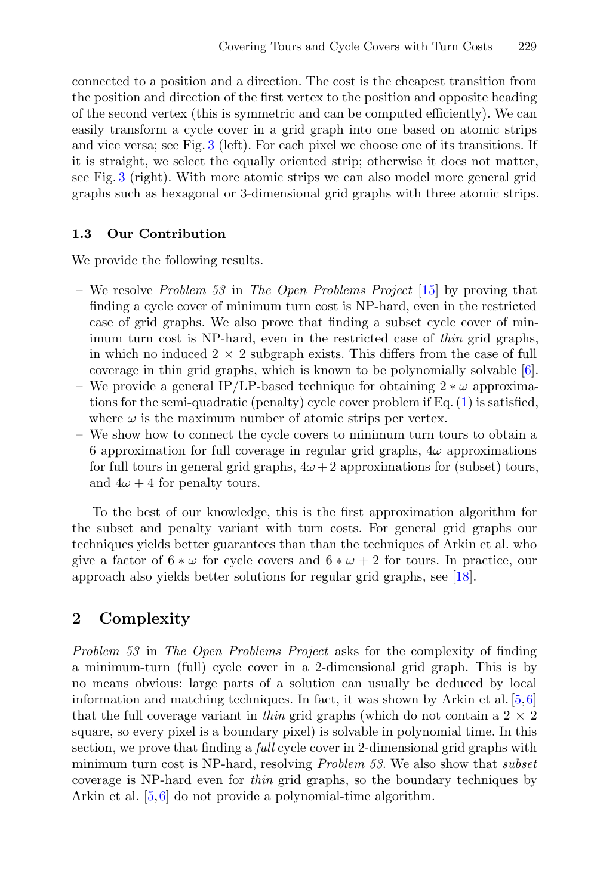connected to a position and a direction. The cost is the cheapest transition from the position and direction of the first vertex to the position and opposite heading of the second vertex (this is symmetric and can be computed efficiently). We can easily transform a cycle cover in a grid graph into one based on atomic strips and vice versa; see Fig. [3](#page-4-1) (left). For each pixel we choose one of its transitions. If it is straight, we select the equally oriented strip; otherwise it does not matter, see Fig. [3](#page-4-1) (right). With more atomic strips we can also model more general grid graphs such as hexagonal or 3-dimensional grid graphs with three atomic strips.

#### **1.3 Our Contribution**

We provide the following results.

- We resolve *Problem 53* in *The Open Problems Project* [\[15\]](#page-11-5) by proving that finding a cycle cover of minimum turn cost is NP-hard, even in the restricted case of grid graphs. We also prove that finding a subset cycle cover of minimum turn cost is NP-hard, even in the restricted case of *thin* grid graphs, in which no induced  $2 \times 2$  subgraph exists. This differs from the case of full coverage in thin grid graphs, which is known to be polynomially solvable [\[6](#page-11-3)].
- We provide a general IP/LP-based technique for obtaining  $2 * \omega$  approximations for the semi-quadratic (penalty) cycle cover problem if Eq. [\(1\)](#page-4-0) is satisfied, where  $\omega$  is the maximum number of atomic strips per vertex.
- We show how to connect the cycle covers to minimum turn tours to obtain a 6 approximation for full coverage in regular grid graphs,  $4\omega$  approximations for full tours in general grid graphs,  $4\omega + 2$  approximations for (subset) tours, and  $4\omega + 4$  for penalty tours.

To the best of our knowledge, this is the first approximation algorithm for the subset and penalty variant with turn costs. For general grid graphs our techniques yields better guarantees than than the techniques of Arkin et al. who give a factor of  $6 * \omega$  for cycle covers and  $6 * \omega + 2$  for tours. In practice, our approach also yields better solutions for regular grid graphs, see [\[18](#page-11-9)].

### <span id="page-5-0"></span>**2 Complexity**

*Problem 53* in *The Open Problems Project* asks for the complexity of finding a minimum-turn (full) cycle cover in a 2-dimensional grid graph. This is by no means obvious: large parts of a solution can usually be deduced by local information and matching techniques. In fact, it was shown by Arkin et al. [\[5,](#page-11-4)[6\]](#page-11-3) that the full coverage variant in *thin* grid graphs (which do not contain a  $2 \times 2$ square, so every pixel is a boundary pixel) is solvable in polynomial time. In this section, we prove that finding a *full* cycle cover in 2-dimensional grid graphs with minimum turn cost is NP-hard, resolving *Problem 53*. We also show that *subset* coverage is NP-hard even for *thin* grid graphs, so the boundary techniques by Arkin et al. [\[5](#page-11-4)[,6](#page-11-3)] do not provide a polynomial-time algorithm.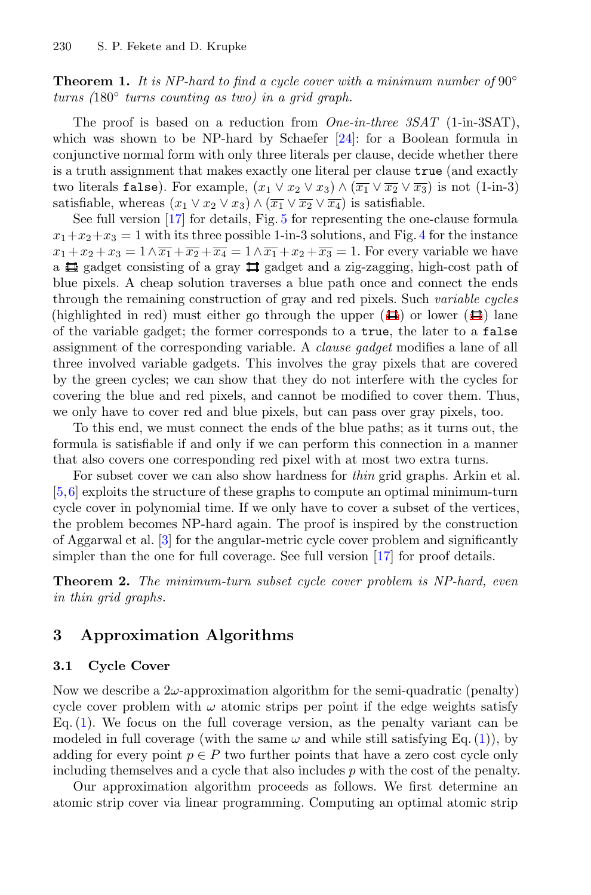**Theorem 1.** *It is NP-hard to find a cycle cover with a minimum number of* 90◦ *turns (*180◦ *turns counting as two) in a grid graph.*

The proof is based on a reduction from *One-in-three 3SAT* (1-in-3SAT), which was shown to be NP-hard by Schaefer [\[24\]](#page-12-4): for a Boolean formula in conjunctive normal form with only three literals per clause, decide whether there is a truth assignment that makes exactly one literal per clause true (and exactly two literals false). For example,  $(x_1 \vee x_2 \vee x_3) \wedge (\overline{x_1} \vee \overline{x_2} \vee \overline{x_3})$  is not (1-in-3) satisfiable, whereas  $(x_1 \vee x_2 \vee x_3) \wedge (\overline{x_1} \vee \overline{x_2} \vee \overline{x_4})$  is satisfiable.

See full version [\[17](#page-11-0)] for details, Fig. [5](#page-7-0) for representing the one-clause formula  $x_1+x_2+x_3=1$  with its three possible 1-in-3 solutions, and Fig. [4](#page-7-1) for the instance  $x_1 + x_2 + x_3 = 1 \wedge \overline{x_1} + \overline{x_2} + \overline{x_4} = 1 \wedge \overline{x_1} + x_2 + \overline{x_3} = 1$ . For every variable we have a  $\Box$  gadget consisting of a gray  $\Box$  gadget and a zig-zagging, high-cost path of blue pixels. A cheap solution traverses a blue path once and connect the ends through the remaining construction of gray and red pixels. Such *variable cycles* (highlighted in red) must either go through the upper  $(\blacksquare)$  or lower  $(\blacksquare)$  lane of the variable gadget; the former corresponds to a true, the later to a false assignment of the corresponding variable. A *clause gadget* modifies a lane of all three involved variable gadgets. This involves the gray pixels that are covered by the green cycles; we can show that they do not interfere with the cycles for covering the blue and red pixels, and cannot be modified to cover them. Thus, we only have to cover red and blue pixels, but can pass over gray pixels, too.

To this end, we must connect the ends of the blue paths; as it turns out, the formula is satisfiable if and only if we can perform this connection in a manner that also covers one corresponding red pixel with at most two extra turns.

For subset cover we can also show hardness for *thin* grid graphs. Arkin et al. [\[5](#page-11-4),[6\]](#page-11-3) exploits the structure of these graphs to compute an optimal minimum-turn cycle cover in polynomial time. If we only have to cover a subset of the vertices, the problem becomes NP-hard again. The proof is inspired by the construction of Aggarwal et al. [\[3](#page-10-0)] for the angular-metric cycle cover problem and significantly simpler than the one for full coverage. See full version [\[17](#page-11-0)] for proof details.

**Theorem 2.** *The minimum-turn subset cycle cover problem is NP-hard, even in thin grid graphs.*

### <span id="page-6-0"></span>**3 Approximation Algorithms**

#### **3.1 Cycle Cover**

Now we describe a  $2\omega$ -approximation algorithm for the semi-quadratic (penalty) cycle cover problem with  $\omega$  atomic strips per point if the edge weights satisfy Eq.  $(1)$ . We focus on the full coverage version, as the penalty variant can be modeled in full coverage (with the same  $\omega$  and while still satisfying Eq. [\(1\)](#page-4-0)), by adding for every point  $p \in P$  two further points that have a zero cost cycle only including themselves and a cycle that also includes  $p$  with the cost of the penalty.

Our approximation algorithm proceeds as follows. We first determine an atomic strip cover via linear programming. Computing an optimal atomic strip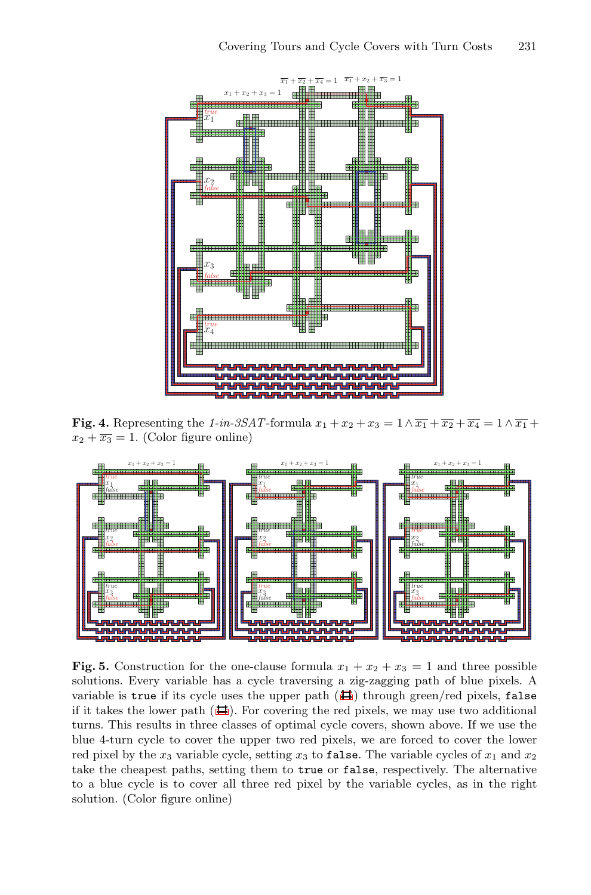

<span id="page-7-1"></span>**Fig. 4.** Representing the *1-in-3SAT*-formula  $x_1 + x_2 + x_3 = 1 \wedge \overline{x_1} + \overline{x_2} + \overline{x_4} = 1 \wedge \overline{x_1} +$  $x_2 + \overline{x_3} = 1$ . (Color figure online)



<span id="page-7-0"></span>**Fig. 5.** Construction for the one-clause formula  $x_1 + x_2 + x_3 = 1$  and three possible solutions. Every variable has a cycle traversing a zig-zagging path of blue pixels. A variable is true if its cycle uses the upper path  $(\Box)$  through green/red pixels, false if it takes the lower path  $(\Box)$ . For covering the red pixels, we may use two additional turns. This results in three classes of optimal cycle covers, shown above. If we use the blue 4-turn cycle to cover the upper two red pixels, we are forced to cover the lower red pixel by the  $x_3$  variable cycle, setting  $x_3$  to false. The variable cycles of  $x_1$  and  $x_2$ take the cheapest paths, setting them to true or false, respectively. The alternative to a blue cycle is to cover all three red pixel by the variable cycles, as in the right solution. (Color figure online)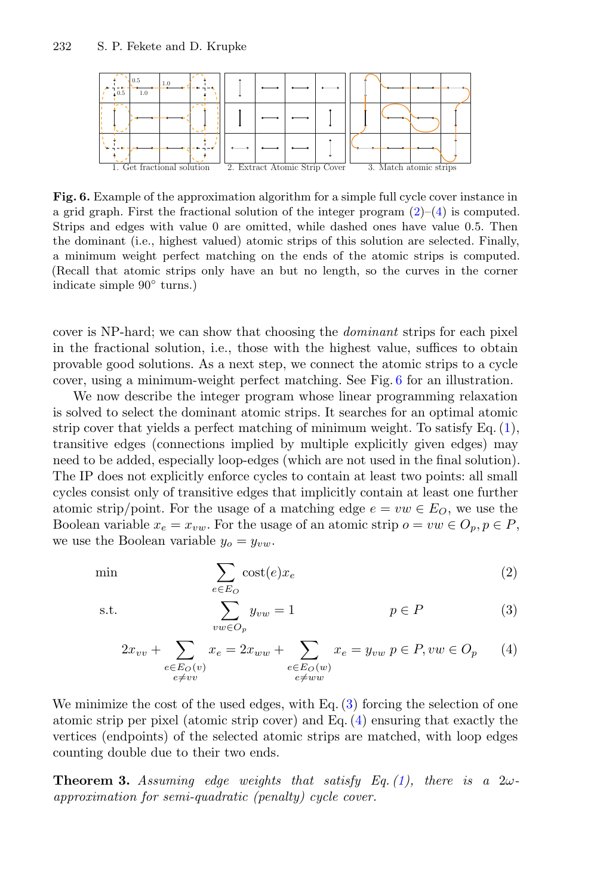

<span id="page-8-1"></span>**Fig. 6.** Example of the approximation algorithm for a simple full cycle cover instance in a grid graph. First the fractional solution of the integer program  $(2)-(4)$  $(2)-(4)$  $(2)-(4)$  is computed. Strips and edges with value 0 are omitted, while dashed ones have value 0*.*5. Then the dominant (i.e., highest valued) atomic strips of this solution are selected. Finally, a minimum weight perfect matching on the ends of the atomic strips is computed. (Recall that atomic strips only have an but no length, so the curves in the corner indicate simple 90◦ turns.)

cover is NP-hard; we can show that choosing the *dominant* strips for each pixel in the fractional solution, i.e., those with the highest value, suffices to obtain provable good solutions. As a next step, we connect the atomic strips to a cycle cover, using a minimum-weight perfect matching. See Fig. [6](#page-8-1) for an illustration.

We now describe the integer program whose linear programming relaxation is solved to select the dominant atomic strips. It searches for an optimal atomic strip cover that yields a perfect matching of minimum weight. To satisfy Eq. [\(1\)](#page-4-0), transitive edges (connections implied by multiple explicitly given edges) may need to be added, especially loop-edges (which are not used in the final solution). The IP does not explicitly enforce cycles to contain at least two points: all small cycles consist only of transitive edges that implicitly contain at least one further atomic strip/point. For the usage of a matching edge  $e = vw \in E_O$ , we use the Boolean variable  $x_e = x_{vw}$ . For the usage of an atomic strip  $o = vw \in O_p, p \in P$ , we use the Boolean variable  $y_o = y_{vw}$ .

<span id="page-8-0"></span>min  $\sum$ <sup>e</sup>∈E*<sup>O</sup>*  $\cosh(e)x_e$  (2)

s.t.  $\sum$ 

$$
y_{vw} = 1 \t\t p \in P \t\t(3)
$$

$$
2x_{vv} + \sum_{\substack{e \in E_O(v) \\ e \neq vv}} x_e = 2x_{ww} + \sum_{\substack{e \in E_O(w) \\ e \neq ww}} x_e = y_{vw} \ p \in P, vw \in O_p \qquad (4)
$$

We minimize the cost of the used edges, with Eq.  $(3)$  forcing the selection of one atomic strip per pixel (atomic strip cover) and Eq. [\(4\)](#page-8-0) ensuring that exactly the vertices (endpoints) of the selected atomic strips are matched, with loop edges counting double due to their two ends.

vw∈O*<sup>p</sup>*

**Theorem 3.** Assuming edge weights that satisfy Eq.  $(1)$ , there is a  $2\omega$ *approximation for semi-quadratic (penalty) cycle cover.*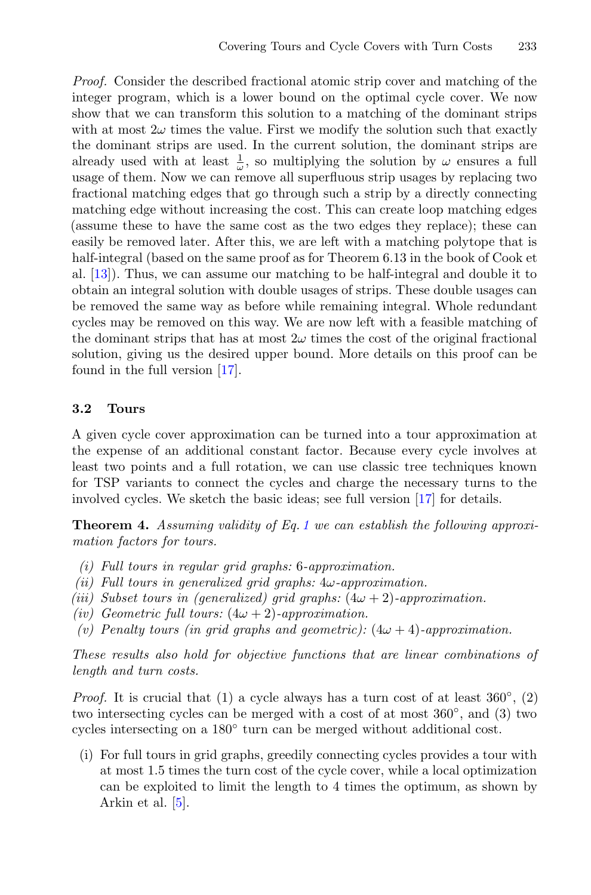*Proof.* Consider the described fractional atomic strip cover and matching of the integer program, which is a lower bound on the optimal cycle cover. We now show that we can transform this solution to a matching of the dominant strips with at most  $2\omega$  times the value. First we modify the solution such that exactly the dominant strips are used. In the current solution, the dominant strips are already used with at least  $\frac{1}{\omega}$ , so multiplying the solution by  $\omega$  ensures a full usage of them. Now we can remove all superfluous strip usages by replacing two fractional matching edges that go through such a strip by a directly connecting matching edge without increasing the cost. This can create loop matching edges (assume these to have the same cost as the two edges they replace); these can easily be removed later. After this, we are left with a matching polytope that is half-integral (based on the same proof as for Theorem 6.13 in the book of Cook et al. [\[13](#page-11-17)]). Thus, we can assume our matching to be half-integral and double it to obtain an integral solution with double usages of strips. These double usages can be removed the same way as before while remaining integral. Whole redundant cycles may be removed on this way. We are now left with a feasible matching of the dominant strips that has at most  $2\omega$  times the cost of the original fractional solution, giving us the desired upper bound. More details on this proof can be found in the full version [\[17](#page-11-0)].

#### **3.2 Tours**

A given cycle cover approximation can be turned into a tour approximation at the expense of an additional constant factor. Because every cycle involves at least two points and a full rotation, we can use classic tree techniques known for TSP variants to connect the cycles and charge the necessary turns to the involved cycles. We sketch the basic ideas; see full version [\[17](#page-11-0)] for details.

**Theorem 4.** *Assuming validity of Eq. [1](#page-4-0) we can establish the following approximation factors for tours.*

- *(i) Full tours in regular grid graphs:* 6*-approximation.*
- *(ii) Full tours in generalized grid graphs:* 4ω*-approximation.*
- *(iii)* Subset tours in (generalized) grid graphs:  $(4\omega + 2)$ -approximation.
- *(iv)* Geometric full tours:  $(4\omega + 2)$ -approximation.
- *(v)* Penalty tours (in grid graphs and geometric):  $(4\omega + 4)$ -approximation.

*These results also hold for objective functions that are linear combinations of length and turn costs.*

*Proof.* It is crucial that (1) a cycle always has a turn cost of at least  $360^\circ$ , (2) two intersecting cycles can be merged with a cost of at most  $360°$ , and  $(3)$  two cycles intersecting on a 180◦ turn can be merged without additional cost.

(i) For full tours in grid graphs, greedily connecting cycles provides a tour with at most 1.5 times the turn cost of the cycle cover, while a local optimization can be exploited to limit the length to 4 times the optimum, as shown by Arkin et al. [\[5\]](#page-11-4).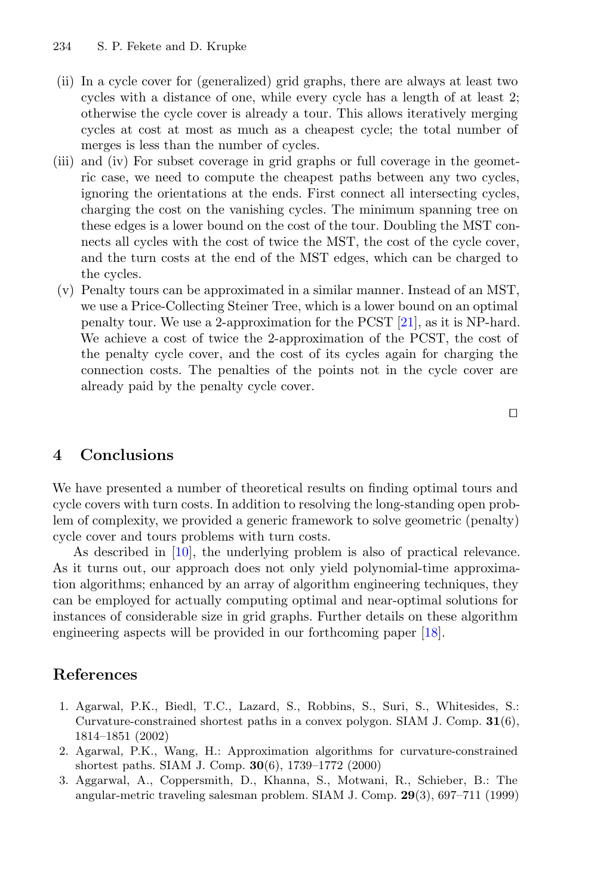- (ii) In a cycle cover for (generalized) grid graphs, there are always at least two cycles with a distance of one, while every cycle has a length of at least 2; otherwise the cycle cover is already a tour. This allows iteratively merging cycles at cost at most as much as a cheapest cycle; the total number of merges is less than the number of cycles.
- (iii) and (iv) For subset coverage in grid graphs or full coverage in the geometric case, we need to compute the cheapest paths between any two cycles, ignoring the orientations at the ends. First connect all intersecting cycles, charging the cost on the vanishing cycles. The minimum spanning tree on these edges is a lower bound on the cost of the tour. Doubling the MST connects all cycles with the cost of twice the MST, the cost of the cycle cover, and the turn costs at the end of the MST edges, which can be charged to the cycles.
- (v) Penalty tours can be approximated in a similar manner. Instead of an MST, we use a Price-Collecting Steiner Tree, which is a lower bound on an optimal penalty tour. We use a 2-approximation for the PCST [\[21](#page-11-15)], as it is NP-hard. We achieve a cost of twice the 2-approximation of the PCST, the cost of the penalty cycle cover, and the cost of its cycles again for charging the connection costs. The penalties of the points not in the cycle cover are already paid by the penalty cycle cover.

## $\Box$

### **4 Conclusions**

We have presented a number of theoretical results on finding optimal tours and cycle covers with turn costs. In addition to resolving the long-standing open problem of complexity, we provided a generic framework to solve geometric (penalty) cycle cover and tours problems with turn costs.

As described in [\[10](#page-11-1)], the underlying problem is also of practical relevance. As it turns out, our approach does not only yield polynomial-time approximation algorithms; enhanced by an array of algorithm engineering techniques, they can be employed for actually computing optimal and near-optimal solutions for instances of considerable size in grid graphs. Further details on these algorithm engineering aspects will be provided in our forthcoming paper [\[18\]](#page-11-9).

### **References**

- <span id="page-10-1"></span>1. Agarwal, P.K., Biedl, T.C., Lazard, S., Robbins, S., Suri, S., Whitesides, S.: Curvature-constrained shortest paths in a convex polygon. SIAM J. Comp. **31**(6), 1814–1851 (2002)
- <span id="page-10-2"></span>2. Agarwal, P.K., Wang, H.: Approximation algorithms for curvature-constrained shortest paths. SIAM J. Comp. **30**(6), 1739–1772 (2000)
- <span id="page-10-0"></span>3. Aggarwal, A., Coppersmith, D., Khanna, S., Motwani, R., Schieber, B.: The angular-metric traveling salesman problem. SIAM J. Comp. **29**(3), 697–711 (1999)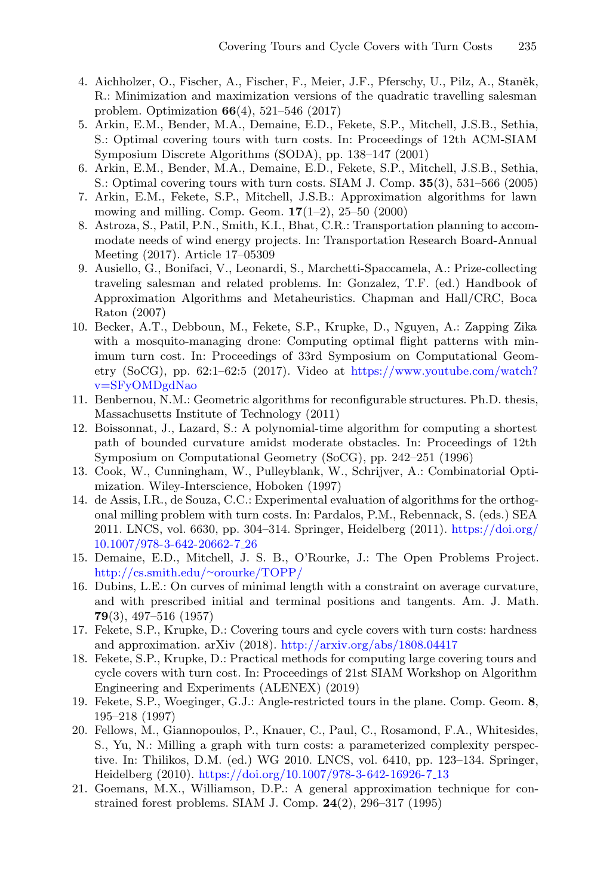- <span id="page-11-11"></span>4. Aichholzer, O., Fischer, A., Fischer, F., Meier, J.F., Pferschy, U., Pilz, A., Staněk, R.: Minimization and maximization versions of the quadratic travelling salesman problem. Optimization **66**(4), 521–546 (2017)
- <span id="page-11-4"></span>5. Arkin, E.M., Bender, M.A., Demaine, E.D., Fekete, S.P., Mitchell, J.S.B., Sethia, S.: Optimal covering tours with turn costs. In: Proceedings of 12th ACM-SIAM Symposium Discrete Algorithms (SODA), pp. 138–147 (2001)
- <span id="page-11-3"></span>6. Arkin, E.M., Bender, M.A., Demaine, E.D., Fekete, S.P., Mitchell, J.S.B., Sethia, S.: Optimal covering tours with turn costs. SIAM J. Comp. **35**(3), 531–566 (2005)
- <span id="page-11-10"></span>7. Arkin, E.M., Fekete, S.P., Mitchell, J.S.B.: Approximation algorithms for lawn mowing and milling. Comp. Geom. **17**(1–2), 25–50 (2000)
- <span id="page-11-2"></span>8. Astroza, S., Patil, P.N., Smith, K.I., Bhat, C.R.: Transportation planning to accommodate needs of wind energy projects. In: Transportation Research Board-Annual Meeting (2017). Article 17–05309
- <span id="page-11-16"></span>9. Ausiello, G., Bonifaci, V., Leonardi, S., Marchetti-Spaccamela, A.: Prize-collecting traveling salesman and related problems. In: Gonzalez, T.F. (ed.) Handbook of Approximation Algorithms and Metaheuristics. Chapman and Hall/CRC, Boca Raton (2007)
- <span id="page-11-1"></span>10. Becker, A.T., Debboun, M., Fekete, S.P., Krupke, D., Nguyen, A.: Zapping Zika with a mosquito-managing drone: Computing optimal flight patterns with minimum turn cost. In: Proceedings of 33rd Symposium on Computational Geometry (SoCG), pp. 62:1–62:5 (2017). Video at [https://www.youtube.com/watch?](https://www.youtube.com/watch?v=SFyOMDgdNao) [v=SFyOMDgdNao](https://www.youtube.com/watch?v=SFyOMDgdNao)
- <span id="page-11-8"></span>11. Benbernou, N.M.: Geometric algorithms for reconfigurable structures. Ph.D. thesis, Massachusetts Institute of Technology (2011)
- <span id="page-11-14"></span>12. Boissonnat, J., Lazard, S.: A polynomial-time algorithm for computing a shortest path of bounded curvature amidst moderate obstacles. In: Proceedings of 12th Symposium on Computational Geometry (SoCG), pp. 242–251 (1996)
- <span id="page-11-17"></span>13. Cook, W., Cunningham, W., Pulleyblank, W., Schrijver, A.: Combinatorial Optimization. Wiley-Interscience, Hoboken (1997)
- <span id="page-11-6"></span>14. de Assis, I.R., de Souza, C.C.: Experimental evaluation of algorithms for the orthogonal milling problem with turn costs. In: Pardalos, P.M., Rebennack, S. (eds.) SEA 2011. LNCS, vol. 6630, pp. 304–314. Springer, Heidelberg (2011). [https://doi.org/](https://doi.org/10.1007/978-3-642-20662-7_26) [10.1007/978-3-642-20662-7](https://doi.org/10.1007/978-3-642-20662-7_26) 26
- <span id="page-11-5"></span>15. Demaine, E.D., Mitchell, J. S. B., O'Rourke, J.: The Open Problems Project. [http://cs.smith.edu/](http://cs.smith.edu/~orourke/TOPP/)∼orourke/TOPP/
- <span id="page-11-13"></span>16. Dubins, L.E.: On curves of minimal length with a constraint on average curvature, and with prescribed initial and terminal positions and tangents. Am. J. Math. **79**(3), 497–516 (1957)
- <span id="page-11-0"></span>17. Fekete, S.P., Krupke, D.: Covering tours and cycle covers with turn costs: hardness and approximation. arXiv (2018). <http://arxiv.org/abs/1808.04417>
- <span id="page-11-9"></span>18. Fekete, S.P., Krupke, D.: Practical methods for computing large covering tours and cycle covers with turn cost. In: Proceedings of 21st SIAM Workshop on Algorithm Engineering and Experiments (ALENEX) (2019)
- <span id="page-11-12"></span>19. Fekete, S.P., Woeginger, G.J.: Angle-restricted tours in the plane. Comp. Geom. **8**, 195–218 (1997)
- <span id="page-11-7"></span>20. Fellows, M., Giannopoulos, P., Knauer, C., Paul, C., Rosamond, F.A., Whitesides, S., Yu, N.: Milling a graph with turn costs: a parameterized complexity perspective. In: Thilikos, D.M. (ed.) WG 2010. LNCS, vol. 6410, pp. 123–134. Springer, Heidelberg (2010). [https://doi.org/10.1007/978-3-642-16926-7](https://doi.org/10.1007/978-3-642-16926-7_13) 13
- <span id="page-11-15"></span>21. Goemans, M.X., Williamson, D.P.: A general approximation technique for constrained forest problems. SIAM J. Comp. **24**(2), 296–317 (1995)